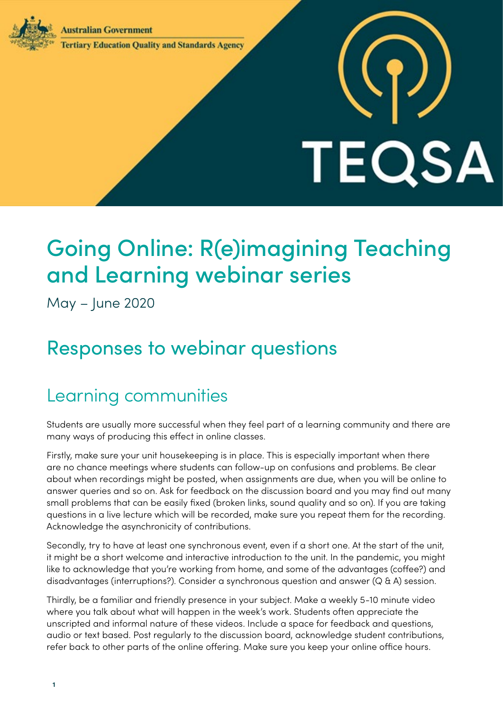**Australian Government** 



### **Tertiary Education Quality and Standards Agency**

# **TEQSA**

# Going Online: R(e)imagining Teaching and Learning webinar series

May – June 2020

# Responses to webinar questions

## Learning communities

Students are usually more successful when they feel part of a learning community and there are many ways of producing this effect in online classes.

Firstly, make sure your unit housekeeping is in place. This is especially important when there are no chance meetings where students can follow-up on confusions and problems. Be clear about when recordings might be posted, when assignments are due, when you will be online to answer queries and so on. Ask for feedback on the discussion board and you may find out many small problems that can be easily fixed (broken links, sound quality and so on). If you are taking questions in a live lecture which will be recorded, make sure you repeat them for the recording. Acknowledge the asynchronicity of contributions.

Secondly, try to have at least one synchronous event, even if a short one. At the start of the unit, it might be a short welcome and interactive introduction to the unit. In the pandemic, you might like to acknowledge that you're working from home, and some of the advantages (coffee?) and disadvantages (interruptions?). Consider a synchronous question and answer (Q & A) session.

Thirdly, be a familiar and friendly presence in your subject. Make a weekly 5-10 minute video where you talk about what will happen in the week's work. Students often appreciate the unscripted and informal nature of these videos. Include a space for feedback and questions, audio or text based. Post regularly to the discussion board, acknowledge student contributions, refer back to other parts of the online offering. Make sure you keep your online office hours.